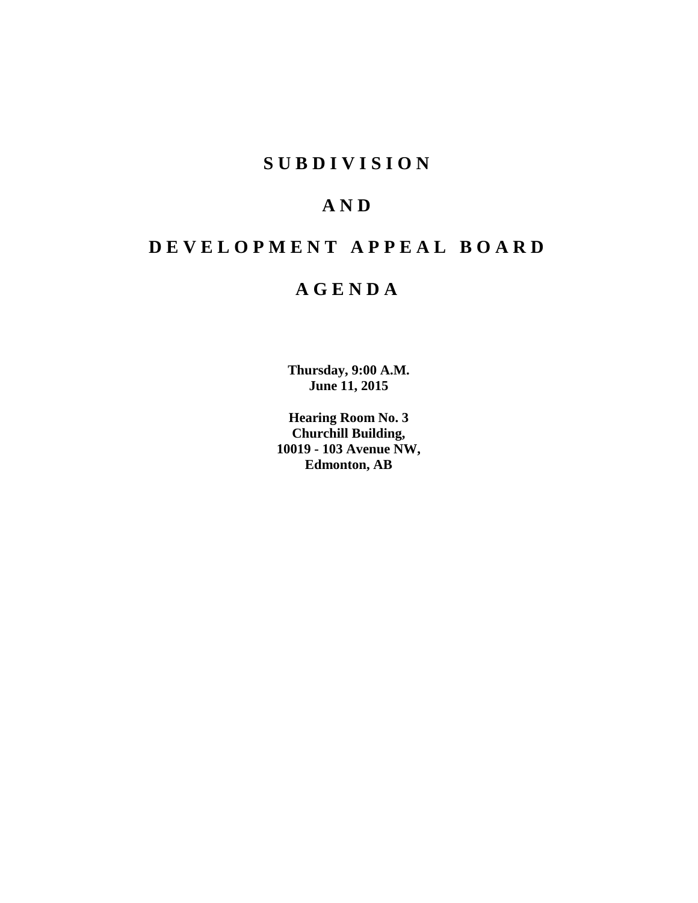# **S U B D I V I S I O N**

# **A N D**

# **D E V E L O P M E N T A P P E A L B O A R D**

# **A G E N D A**

**Thursday, 9:00 A.M. June 11, 2015**

**Hearing Room No. 3 Churchill Building, 10019 - 103 Avenue NW, Edmonton, AB**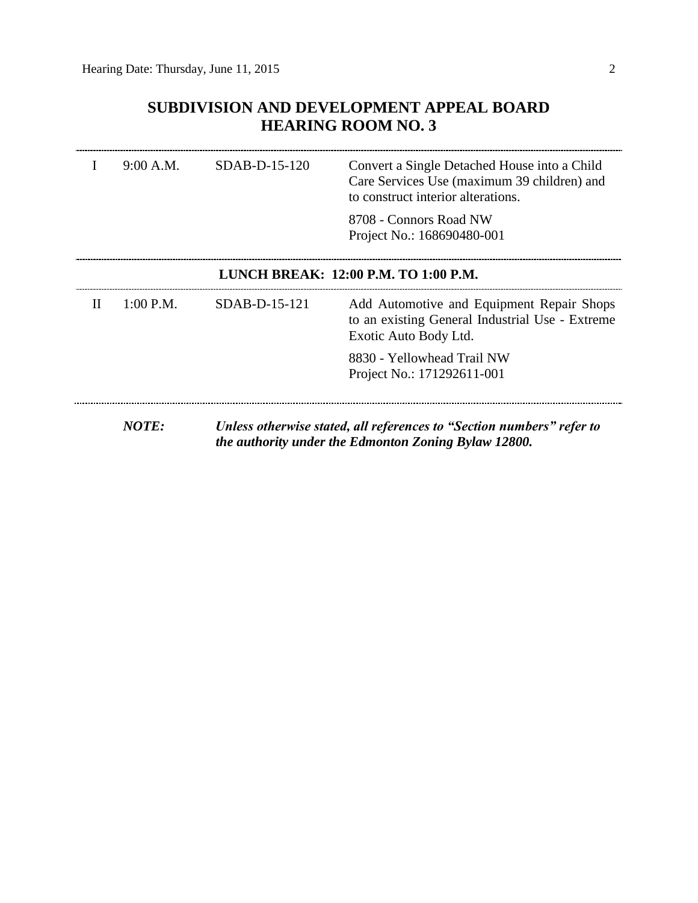## **SUBDIVISION AND DEVELOPMENT APPEAL BOARD HEARING ROOM NO. 3**

|                                      | 9:00 A.M.   | SDAB-D-15-120 | Convert a Single Detached House into a Child<br>Care Services Use (maximum 39 children) and<br>to construct interior alterations. |  |
|--------------------------------------|-------------|---------------|-----------------------------------------------------------------------------------------------------------------------------------|--|
|                                      |             |               | 8708 - Connors Road NW<br>Project No.: 168690480-001                                                                              |  |
| LUNCH BREAK: 12:00 P.M. TO 1:00 P.M. |             |               |                                                                                                                                   |  |
| П                                    | $1:00$ P.M. | SDAB-D-15-121 | Add Automotive and Equipment Repair Shops<br>to an existing General Industrial Use - Extreme<br>Exotic Auto Body Ltd.             |  |
|                                      |             |               | 8830 - Yellowhead Trail NW<br>Project No.: 171292611-001                                                                          |  |
|                                      | NOTE:       |               | Unless otherwise stated, all references to "Section numbers" refer to<br>the authority under the Edmonton Zoning Bylaw 12800.     |  |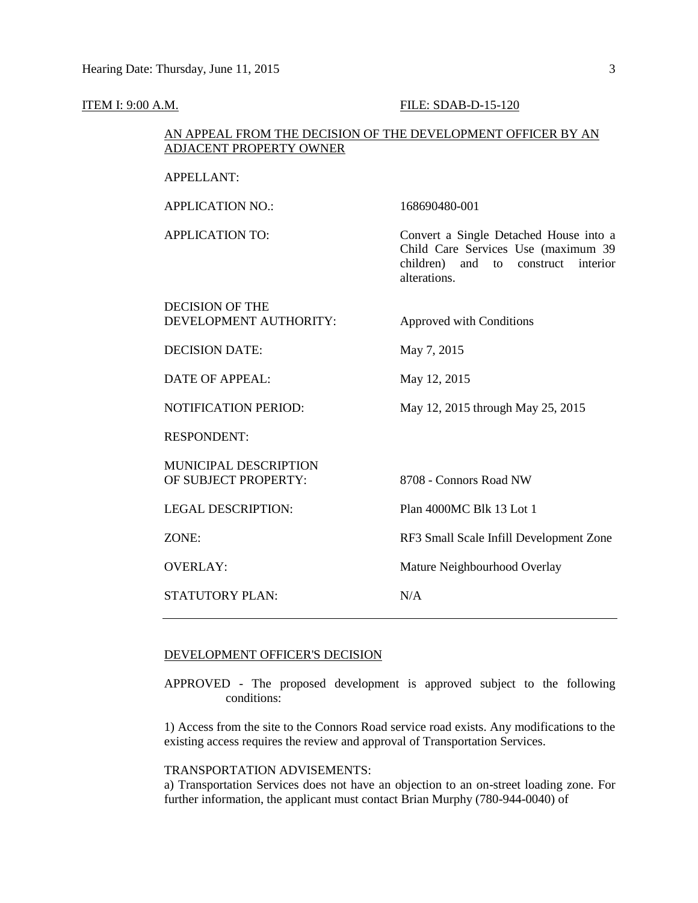#### **ITEM I: 9:00 A.M. FILE: SDAB-D-15-120**

#### AN APPEAL FROM THE DECISION OF THE DEVELOPMENT OFFICER BY AN ADJACENT PROPERTY OWNER

APPLICATION NO.: 168690480-001

APPLICATION TO: Convert a Single Detached House into a Child Care Services Use (maximum 39 children) and to construct interior alterations.

#### DECISION OF THE DEVELOPMENT AUTHORITY: Approved with Conditions

DECISION DATE: May 7, 2015

DATE OF APPEAL: May 12, 2015

NOTIFICATION PERIOD: May 12, 2015 through May 25, 2015

RESPONDENT:

MUNICIPAL DESCRIPTION OF SUBJECT PROPERTY: 8708 - Connors Road NW

STATUTORY PLAN: N/A

LEGAL DESCRIPTION: Plan 4000MC Blk 13 Lot 1

ZONE: RF3 Small Scale Infill Development Zone

OVERLAY: Mature Neighbourhood Overlay

#### DEVELOPMENT OFFICER'S DECISION

APPROVED - The proposed development is approved subject to the following conditions:

1) Access from the site to the Connors Road service road exists. Any modifications to the existing access requires the review and approval of Transportation Services.

#### TRANSPORTATION ADVISEMENTS:

a) Transportation Services does not have an objection to an on-street loading zone. For further information, the applicant must contact Brian Murphy (780-944-0040) of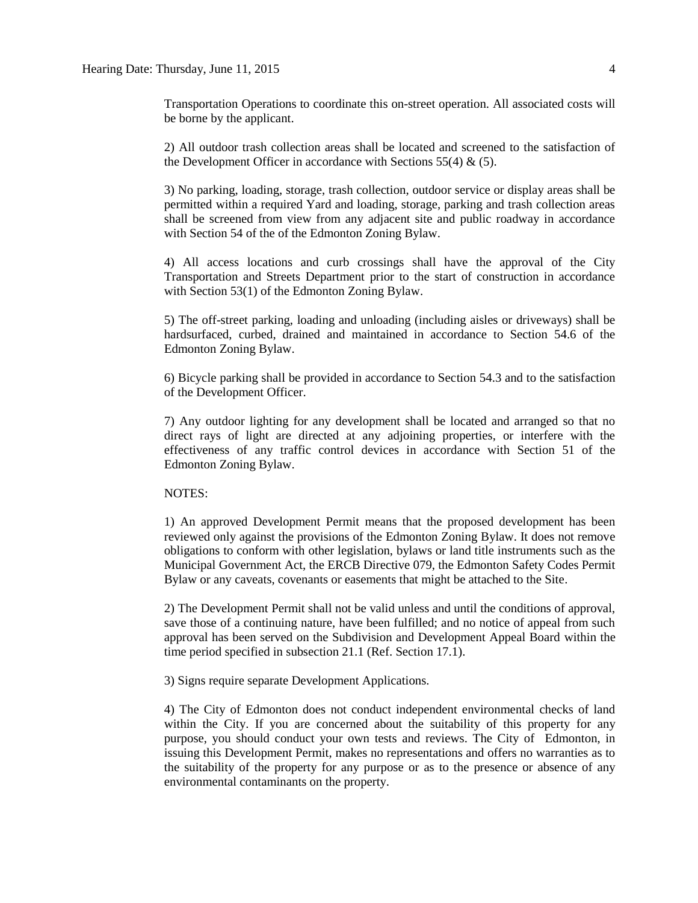Transportation Operations to coordinate this on-street operation. All associated costs will be borne by the applicant.

2) All outdoor trash collection areas shall be located and screened to the satisfaction of the Development Officer in accordance with Sections 55(4)  $\&$  (5).

3) No parking, loading, storage, trash collection, outdoor service or display areas shall be permitted within a required Yard and loading, storage, parking and trash collection areas shall be screened from view from any adjacent site and public roadway in accordance with Section 54 of the of the Edmonton Zoning Bylaw.

4) All access locations and curb crossings shall have the approval of the City Transportation and Streets Department prior to the start of construction in accordance with Section 53(1) of the Edmonton Zoning Bylaw.

5) The off-street parking, loading and unloading (including aisles or driveways) shall be hardsurfaced, curbed, drained and maintained in accordance to Section 54.6 of the Edmonton Zoning Bylaw.

6) Bicycle parking shall be provided in accordance to Section 54.3 and to the satisfaction of the Development Officer.

7) Any outdoor lighting for any development shall be located and arranged so that no direct rays of light are directed at any adjoining properties, or interfere with the effectiveness of any traffic control devices in accordance with Section 51 of the Edmonton Zoning Bylaw.

#### NOTES:

1) An approved Development Permit means that the proposed development has been reviewed only against the provisions of the Edmonton Zoning Bylaw. It does not remove obligations to conform with other legislation, bylaws or land title instruments such as the Municipal Government Act, the ERCB Directive 079, the Edmonton Safety Codes Permit Bylaw or any caveats, covenants or easements that might be attached to the Site.

2) The Development Permit shall not be valid unless and until the conditions of approval, save those of a continuing nature, have been fulfilled; and no notice of appeal from such approval has been served on the Subdivision and Development Appeal Board within the time period specified in subsection 21.1 (Ref. Section 17.1).

3) Signs require separate Development Applications.

4) The City of Edmonton does not conduct independent environmental checks of land within the City. If you are concerned about the suitability of this property for any purpose, you should conduct your own tests and reviews. The City of Edmonton, in issuing this Development Permit, makes no representations and offers no warranties as to the suitability of the property for any purpose or as to the presence or absence of any environmental contaminants on the property.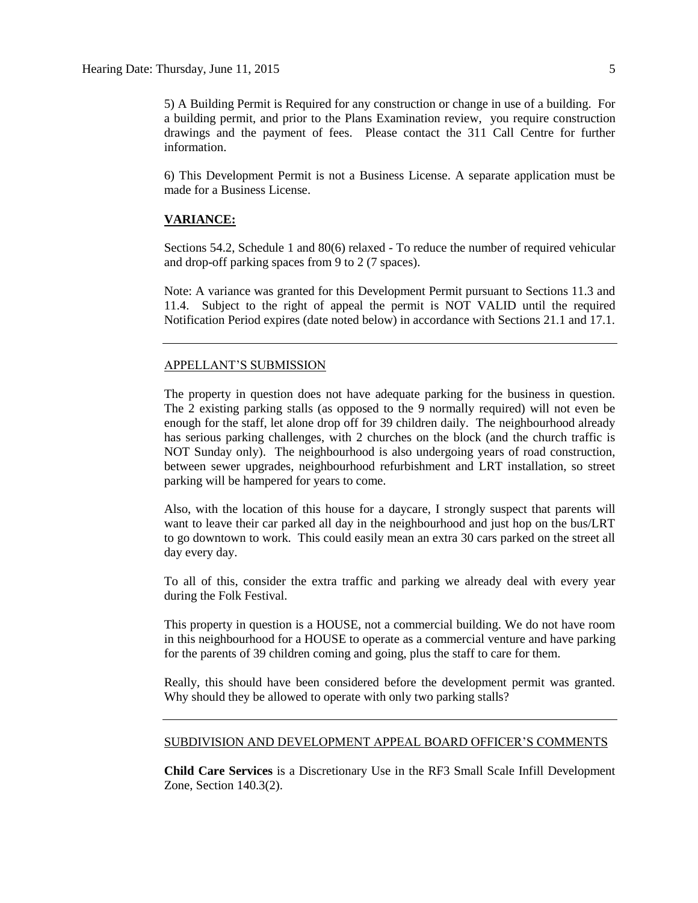5) A Building Permit is Required for any construction or change in use of a building. For a building permit, and prior to the Plans Examination review, you require construction drawings and the payment of fees. Please contact the 311 Call Centre for further information.

6) This Development Permit is not a Business License. A separate application must be made for a Business License.

#### **VARIANCE:**

Sections 54.2, Schedule 1 and 80(6) relaxed - To reduce the number of required vehicular and drop-off parking spaces from 9 to 2 (7 spaces).

Note: A variance was granted for this Development Permit pursuant to Sections 11.3 and 11.4. Subject to the right of appeal the permit is NOT VALID until the required Notification Period expires (date noted below) in accordance with Sections 21.1 and 17.1.

#### APPELLANT'S SUBMISSION

The property in question does not have adequate parking for the business in question. The 2 existing parking stalls (as opposed to the 9 normally required) will not even be enough for the staff, let alone drop off for 39 children daily. The neighbourhood already has serious parking challenges, with 2 churches on the block (and the church traffic is NOT Sunday only). The neighbourhood is also undergoing years of road construction, between sewer upgrades, neighbourhood refurbishment and LRT installation, so street parking will be hampered for years to come.

Also, with the location of this house for a daycare, I strongly suspect that parents will want to leave their car parked all day in the neighbourhood and just hop on the bus/LRT to go downtown to work. This could easily mean an extra 30 cars parked on the street all day every day.

To all of this, consider the extra traffic and parking we already deal with every year during the Folk Festival.

This property in question is a HOUSE, not a commercial building. We do not have room in this neighbourhood for a HOUSE to operate as a commercial venture and have parking for the parents of 39 children coming and going, plus the staff to care for them.

Really, this should have been considered before the development permit was granted. Why should they be allowed to operate with only two parking stalls?

#### SUBDIVISION AND DEVELOPMENT APPEAL BOARD OFFICER'S COMMENTS

**Child Care Services** is a Discretionary Use in the RF3 Small Scale Infill Development Zone, Section 140.3(2).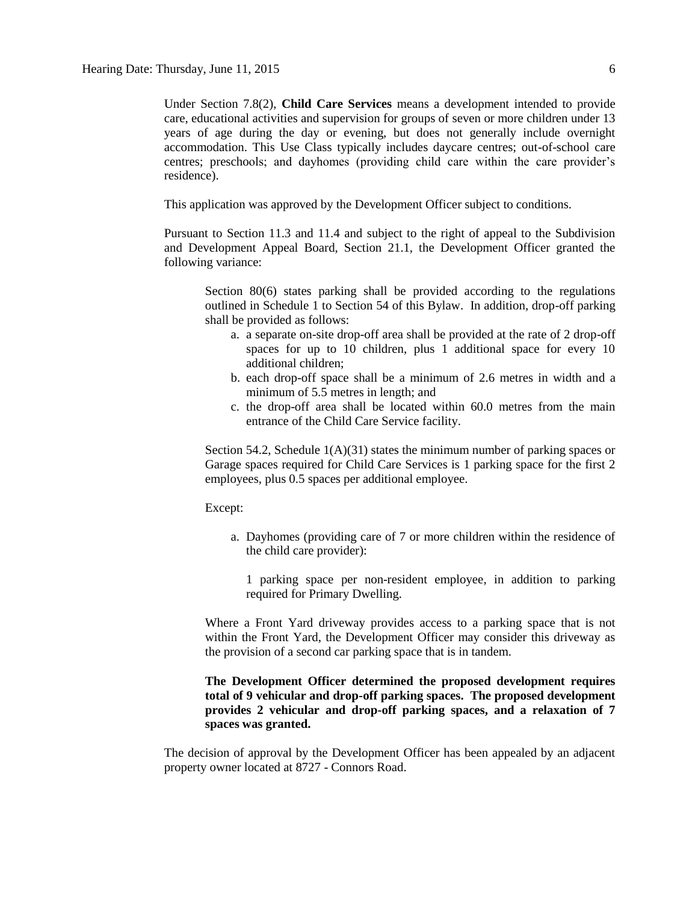Under Section 7.8(2), **Child Care Services** means a development intended to provide care, educational activities and supervision for groups of seven or more children under 13 years of age during the day or evening, but does not generally include overnight accommodation. This Use Class typically includes daycare centres; out-of-school care centres; preschools; and dayhomes (providing child care within the care provider's residence).

This application was approved by the Development Officer subject to conditions.

Pursuant to Section 11.3 and 11.4 and subject to the right of appeal to the Subdivision and Development Appeal Board, Section 21.1, the Development Officer granted the following variance:

Section 80(6) states parking shall be provided according to the regulations outlined in Schedule 1 to Section 54 of this Bylaw. In addition, drop-off parking shall be provided as follows:

- a. a separate on-site drop-off area shall be provided at the rate of 2 drop-off spaces for up to 10 children, plus 1 additional space for every 10 additional children;
- b. each drop-off space shall be a minimum of 2.6 metres in width and a minimum of 5.5 metres in length; and
- c. the drop-off area shall be located within 60.0 metres from the main entrance of the Child Care Service facility.

Section 54.2, Schedule 1(A)(31) states the minimum number of parking spaces or Garage spaces required for Child Care Services is 1 parking space for the first 2 employees, plus 0.5 spaces per additional employee.

Except:

a. Dayhomes (providing care of 7 or more children within the residence of the child care provider):

1 parking space per non-resident employee, in addition to parking required for Primary Dwelling.

Where a Front Yard driveway provides access to a parking space that is not within the Front Yard, the Development Officer may consider this driveway as the provision of a second car parking space that is in tandem.

### **The Development Officer determined the proposed development requires total of 9 vehicular and drop-off parking spaces. The proposed development provides 2 vehicular and drop-off parking spaces, and a relaxation of 7 spaces was granted.**

The decision of approval by the Development Officer has been appealed by an adjacent property owner located at 8727 - Connors Road.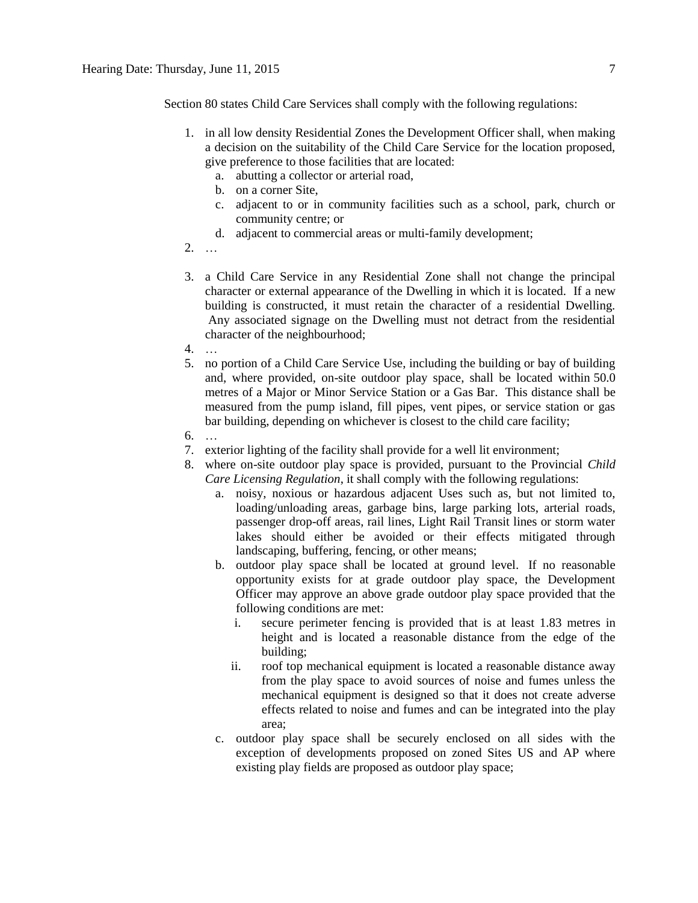Section 80 states [Child Care Services](javascript:void(0);) shall comply with the following regulations:

- 1. in all low density Residential Zones the Development Officer shall, when making a decision on the suitability of the Child Care Service for the location proposed, give preference to those facilities that are located:
	- a. abutting a collector or arterial road,
	- b. on a corner Site,
	- c. adjacent to or in community facilities such as a school, park, church or community centre; or
	- d. adjacent to commercial areas or multi-family development;
- 2. …
- 3. a Child Care Service in any Residential Zone shall not change the principal character or external appearance of the Dwelling in which it is located. If a new building is constructed, it must retain the character of a residential Dwelling. Any associated signage on the Dwelling must not detract from the residential character of the neighbourhood;
- 4. …
- 5. no portion of a Child Care Service Use, including the building or bay of building and, where provided, on-site outdoor play space, shall be located within 50.0 metres of a Major or Minor Service Station or a Gas Bar. This distance shall be measured from the pump island, fill pipes, vent pipes, or service station or gas bar building, depending on whichever is closest to the child care facility;
- 6. …
- 7. exterior lighting of the facility shall provide for a well lit environment;
- 8. where on-site outdoor play space is provided, pursuant to the Provincial *Child Care Licensing Regulation*, it shall comply with the following regulations:
	- a. noisy, noxious or hazardous adjacent Uses such as, but not limited to, loading/unloading areas, garbage bins, large parking lots, arterial roads, passenger drop-off areas, rail lines, Light Rail Transit lines or storm water lakes should either be avoided or their effects mitigated through landscaping, buffering, fencing, or other means;
	- b. outdoor play space shall be located at ground level. If no reasonable opportunity exists for at grade outdoor play space, the Development Officer may approve an above grade outdoor play space provided that the following conditions are met:
		- i. secure perimeter fencing is provided that is at least 1.83 metres in height and is located a reasonable distance from the edge of the building;
		- ii. roof top mechanical equipment is located a reasonable distance away from the play space to avoid sources of noise and fumes unless the mechanical equipment is designed so that it does not create adverse effects related to noise and fumes and can be integrated into the play area;
	- c. outdoor play space shall be securely enclosed on all sides with the exception of developments proposed on zoned Sites US and AP where existing play fields are proposed as outdoor play space;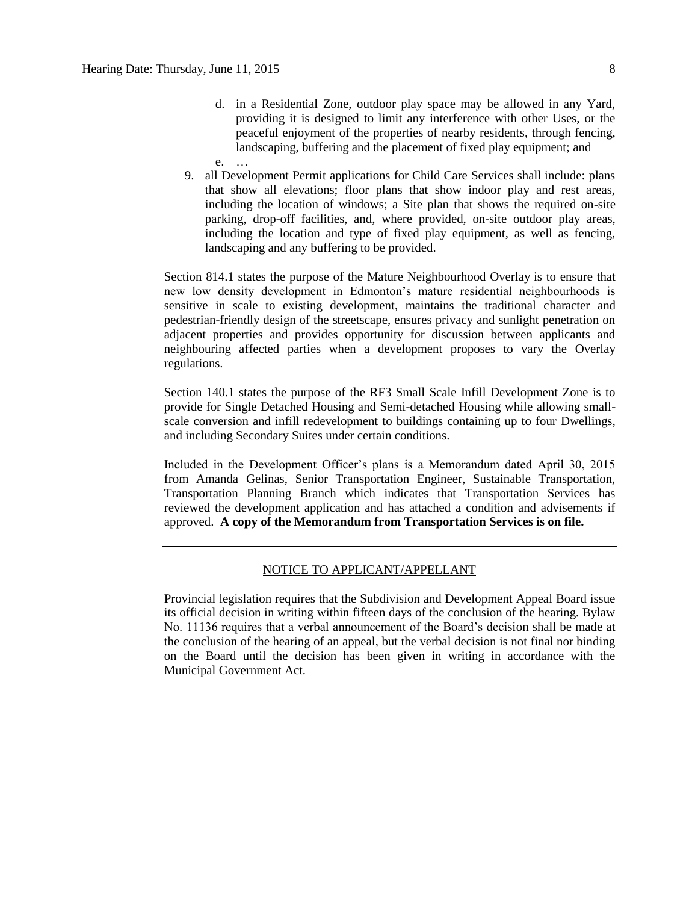- d. in a Residential Zone, outdoor play space may be allowed in any Yard, providing it is designed to limit any interference with other Uses, or the peaceful enjoyment of the properties of nearby residents, through fencing, landscaping, buffering and the placement of fixed play equipment; and
- e. …
- 9. all Development Permit applications for Child Care Services shall include: plans that show all elevations; floor plans that show indoor play and rest areas, including the location of windows; a Site plan that shows the required on-site parking, drop-off facilities, and, where provided, on-site outdoor play areas, including the location and type of fixed play equipment, as well as fencing, landscaping and any buffering to be provided.

Section 814.1 states the purpose of the Mature Neighbourhood Overlay is to ensure that new low density development in Edmonton's mature residential neighbourhoods is sensitive in scale to existing development, maintains the traditional character and pedestrian-friendly design of the streetscape, ensures privacy and sunlight penetration on adjacent properties and provides opportunity for discussion between applicants and neighbouring affected parties when a development proposes to vary the Overlay regulations.

Section 140.1 states the purpose of the RF3 Small Scale Infill Development Zone is to provide for Single Detached Housing and Semi-detached Housing while allowing smallscale conversion and infill redevelopment to buildings containing up to four Dwellings, and including Secondary Suites under certain conditions.

Included in the Development Officer's plans is a Memorandum dated April 30, 2015 from Amanda Gelinas, Senior Transportation Engineer, Sustainable Transportation, Transportation Planning Branch which indicates that Transportation Services has reviewed the development application and has attached a condition and advisements if approved. **A copy of the Memorandum from Transportation Services is on file.**

#### NOTICE TO APPLICANT/APPELLANT

Provincial legislation requires that the Subdivision and Development Appeal Board issue its official decision in writing within fifteen days of the conclusion of the hearing. Bylaw No. 11136 requires that a verbal announcement of the Board's decision shall be made at the conclusion of the hearing of an appeal, but the verbal decision is not final nor binding on the Board until the decision has been given in writing in accordance with the Municipal Government Act.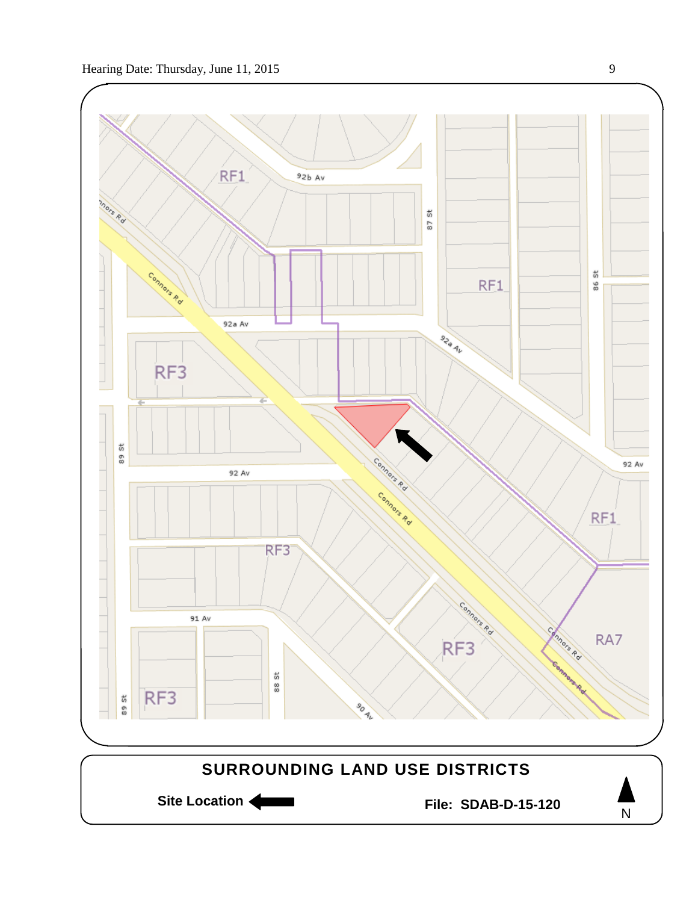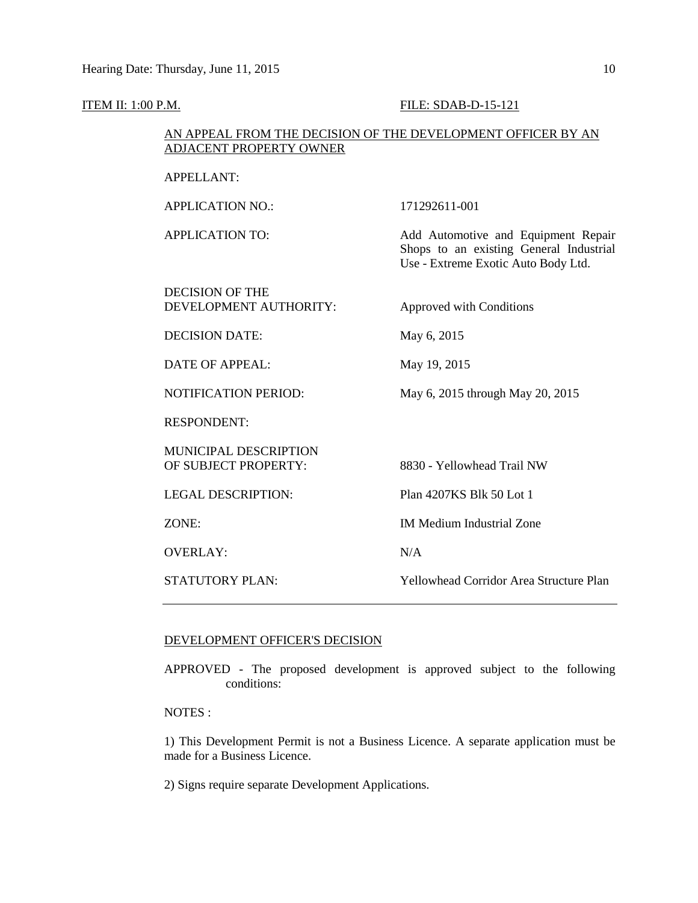#### **ITEM II: 1:00 P.M. FILE: SDAB-D-15-121**

#### AN APPEAL FROM THE DECISION OF THE DEVELOPMENT OFFICER BY AN ADJACENT PROPERTY OWNER

| APPELLANT: |
|------------|
|------------|

APPLICATION NO.: 171292611-001

APPLICATION TO: Add Automotive and Equipment Repair

DECISION OF THE DEVELOPMENT AUTHORITY: Approved with Conditions

Shops to an existing General Industrial Use - Extreme Exotic Auto Body Ltd.

DECISION DATE: May 6, 2015

DATE OF APPEAL: May 19, 2015

NOTIFICATION PERIOD: May 6, 2015 through May 20, 2015

RESPONDENT:

MUNICIPAL DESCRIPTION OF SUBJECT PROPERTY: 8830 - Yellowhead Trail NW

OVERLAY: N/A

LEGAL DESCRIPTION: Plan 4207KS Blk 50 Lot 1

ZONE: IM Medium Industrial Zone

STATUTORY PLAN: Yellowhead Corridor Area Structure Plan

#### DEVELOPMENT OFFICER'S DECISION

APPROVED - The proposed development is approved subject to the following conditions:

NOTES :

1) This Development Permit is not a Business Licence. A separate application must be made for a Business Licence.

2) Signs require separate Development Applications.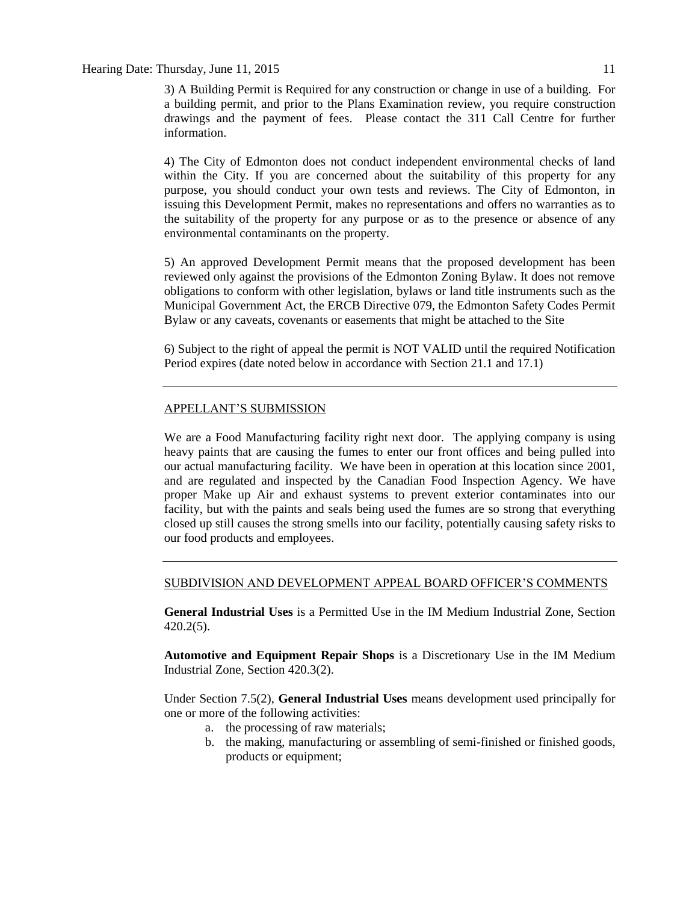#### Hearing Date: Thursday, June 11, 2015 11 and the state of the state of the state of the state of the state of the state of the state of the state of the state of the state of the state of the state of the state of the stat

3) A Building Permit is Required for any construction or change in use of a building. For a building permit, and prior to the Plans Examination review, you require construction drawings and the payment of fees. Please contact the 311 Call Centre for further information.

4) The City of Edmonton does not conduct independent environmental checks of land within the City. If you are concerned about the suitability of this property for any purpose, you should conduct your own tests and reviews. The City of Edmonton, in issuing this Development Permit, makes no representations and offers no warranties as to the suitability of the property for any purpose or as to the presence or absence of any environmental contaminants on the property.

5) An approved Development Permit means that the proposed development has been reviewed only against the provisions of the Edmonton Zoning Bylaw. It does not remove obligations to conform with other legislation, bylaws or land title instruments such as the Municipal Government Act, the ERCB Directive 079, the Edmonton Safety Codes Permit Bylaw or any caveats, covenants or easements that might be attached to the Site

6) Subject to the right of appeal the permit is NOT VALID until the required Notification Period expires (date noted below in accordance with Section 21.1 and 17.1)

#### APPELLANT'S SUBMISSION

We are a Food Manufacturing facility right next door. The applying company is using heavy paints that are causing the fumes to enter our front offices and being pulled into our actual manufacturing facility. We have been in operation at this location since 2001, and are regulated and inspected by the Canadian Food Inspection Agency. We have proper Make up Air and exhaust systems to prevent exterior contaminates into our facility, but with the paints and seals being used the fumes are so strong that everything closed up still causes the strong smells into our facility, potentially causing safety risks to our food products and employees.

### SUBDIVISION AND DEVELOPMENT APPEAL BOARD OFFICER'S COMMENTS

**General Industrial Uses** is a Permitted Use in the IM Medium Industrial Zone, Section 420.2(5).

**Automotive and Equipment Repair Shops** is a Discretionary Use in the IM Medium Industrial Zone, Section 420.3(2).

Under Section 7.5(2), **General Industrial Uses** means development used principally for one or more of the following activities:

- a. the processing of raw materials;
- b. the making, manufacturing or assembling of semi-finished or finished goods, products or equipment;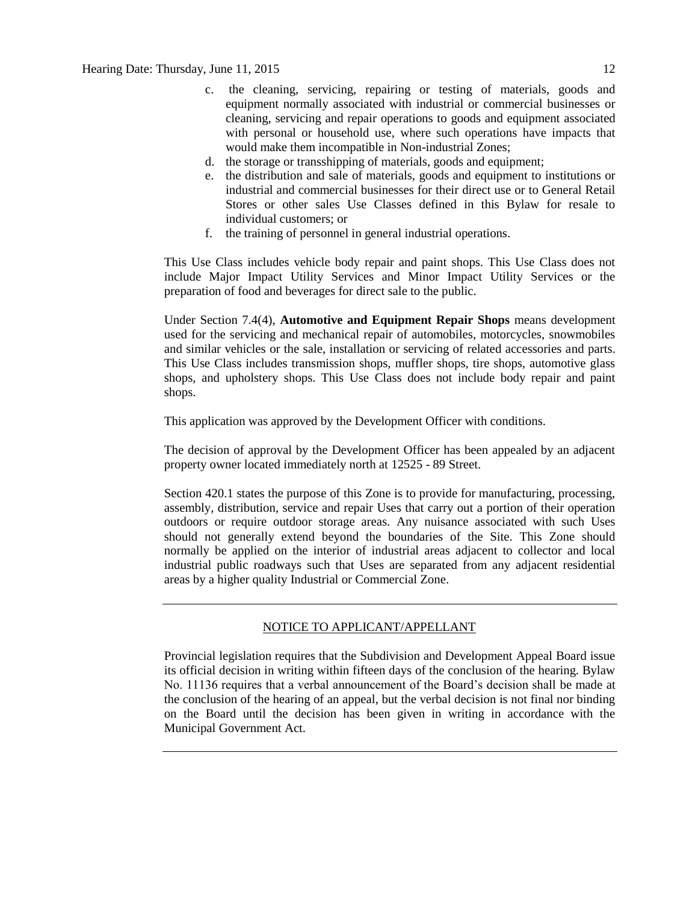- c. the cleaning, servicing, repairing or testing of materials, goods and equipment normally associated with industrial or commercial businesses or cleaning, servicing and repair operations to goods and equipment associated with personal or household use, where such operations have impacts that would make them incompatible in Non-industrial Zones;
- d. the storage or transshipping of materials, goods and equipment;
- e. the distribution and sale of materials, goods and equipment to institutions or industrial and commercial businesses for their direct use or to General Retail Stores or other sales Use Classes defined in this Bylaw for resale to individual customers; or
- f. the training of personnel in general industrial operations.

This Use Class includes vehicle body repair and paint shops. This Use Class does not include Major Impact Utility Services and Minor Impact Utility Services or the preparation of food and beverages for direct sale to the public.

Under Section 7.4(4), **Automotive and Equipment Repair Shops** means development used for the servicing and mechanical repair of automobiles, motorcycles, snowmobiles and similar vehicles or the sale, installation or servicing of related accessories and parts. This Use Class includes transmission shops, muffler shops, tire shops, automotive glass shops, and upholstery shops. This Use Class does not include body repair and paint shops.

This application was approved by the Development Officer with conditions.

The decision of approval by the Development Officer has been appealed by an adjacent property owner located immediately north at 12525 - 89 Street.

Section 420.1 states the purpose of this Zone is to provide for manufacturing, processing, assembly, distribution, service and repair Uses that carry out a portion of their operation outdoors or require outdoor storage areas. Any nuisance associated with such Uses should not generally extend beyond the boundaries of the Site. This Zone should normally be applied on the interior of industrial areas adjacent to collector and local industrial public roadways such that Uses are separated from any adjacent residential areas by a higher quality Industrial or Commercial Zone.

## NOTICE TO APPLICANT/APPELLANT

Provincial legislation requires that the Subdivision and Development Appeal Board issue its official decision in writing within fifteen days of the conclusion of the hearing. Bylaw No. 11136 requires that a verbal announcement of the Board's decision shall be made at the conclusion of the hearing of an appeal, but the verbal decision is not final nor binding on the Board until the decision has been given in writing in accordance with the Municipal Government Act.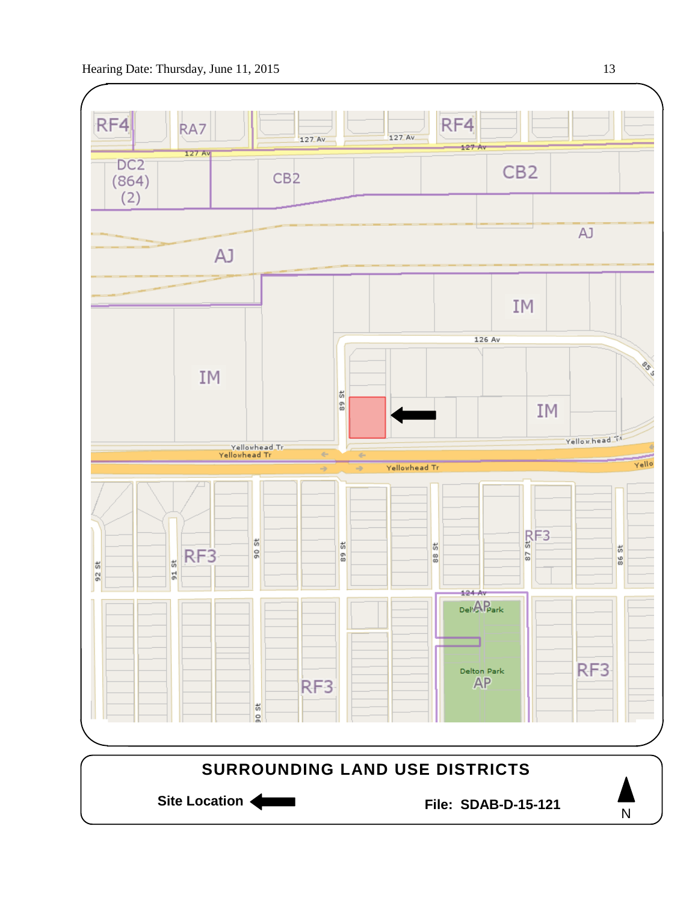